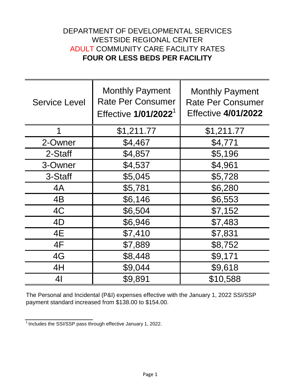## **FOUR OR LESS BEDS PER FACILITY** ADULT COMMUNITY CARE FACILITY RATES DEPARTMENT OF DEVELOPMENTAL SERVICES WESTSIDE REGIONAL CENTER

| <b>Service Level</b> | <b>Monthly Payment</b><br><b>Rate Per Consumer</b><br>Effective 1/01/2022 <sup>1</sup> | <b>Monthly Payment</b><br><b>Rate Per Consumer</b><br><b>Effective 4/01/2022</b> |
|----------------------|----------------------------------------------------------------------------------------|----------------------------------------------------------------------------------|
| 1                    | \$1,211.77                                                                             | \$1,211.77                                                                       |
| 2-Owner              | \$4,467                                                                                | \$4,771                                                                          |
| 2-Staff              | \$4,857                                                                                | \$5,196                                                                          |
| 3-Owner              | \$4,537                                                                                | \$4,961                                                                          |
| 3-Staff              | \$5,045                                                                                | \$5,728                                                                          |
| 4A                   | \$5,781                                                                                | \$6,280                                                                          |
| 4B                   | \$6,146                                                                                | \$6,553                                                                          |
| 4C                   | \$6,504                                                                                | \$7,152                                                                          |
| 4D                   | \$6,946                                                                                | \$7,483                                                                          |
| 4E                   | \$7,410                                                                                | \$7,831                                                                          |
| 4F                   | \$7,889                                                                                | \$8,752                                                                          |
| 4G                   | \$8,448                                                                                | \$9,171                                                                          |
| 4H                   | \$9,044                                                                                | \$9,618                                                                          |
| 4 <sub>l</sub>       | \$9,891                                                                                | \$10,588                                                                         |

The Personal and Incidental (P&I) expenses effective with the January 1, 2022 SSI/SSP payment standard increased from \$138.00 to \$154.00.

 $1$ Includes the SSI/SSP pass through effective January 1, 2022.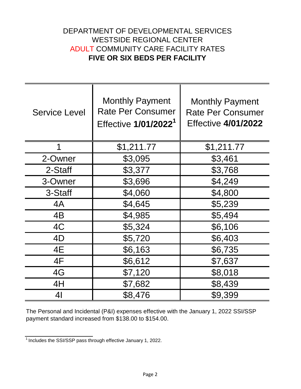## DEPARTMENT OF DEVELOPMENTAL SERVICES **FIVE OR SIX BEDS PER FACILITY** ADULT COMMUNITY CARE FACILITY RATES WESTSIDE REGIONAL CENTER

| <b>Service Level</b> | <b>Monthly Payment</b><br><b>Rate Per Consumer</b><br>Effective 1/01/2022 <sup>1</sup> | <b>Monthly Payment</b><br><b>Rate Per Consumer</b><br><b>Effective 4/01/2022</b> |
|----------------------|----------------------------------------------------------------------------------------|----------------------------------------------------------------------------------|
| 1                    | \$1,211.77                                                                             | \$1,211.77                                                                       |
| 2-Owner              | \$3,095                                                                                | \$3,461                                                                          |
| 2-Staff              | \$3,377                                                                                | \$3,768                                                                          |
| 3-Owner              | \$3,696                                                                                | \$4,249                                                                          |
| 3-Staff              | \$4,060                                                                                | \$4,800                                                                          |
| 4A                   | \$4,645                                                                                | \$5,239                                                                          |
| 4B                   | \$4,985                                                                                | \$5,494                                                                          |
| 4C                   | \$5,324                                                                                | \$6,106                                                                          |
| 4D                   | \$5,720                                                                                | \$6,403                                                                          |
| 4E                   | \$6,163                                                                                | \$6,735                                                                          |
| 4F                   | \$6,612                                                                                | \$7,637                                                                          |
| 4G                   | \$7,120                                                                                | \$8,018                                                                          |
| 4H                   | \$7,682                                                                                | \$8,439                                                                          |
| 41                   | \$8,476                                                                                | \$9,399                                                                          |

The Personal and Incidental (P&I) expenses effective with the January 1, 2022 SSI/SSP payment standard increased from \$138.00 to \$154.00.

 $\frac{1}{1}$  Includes the SSI/SSP pass through effective January 1, 2022.